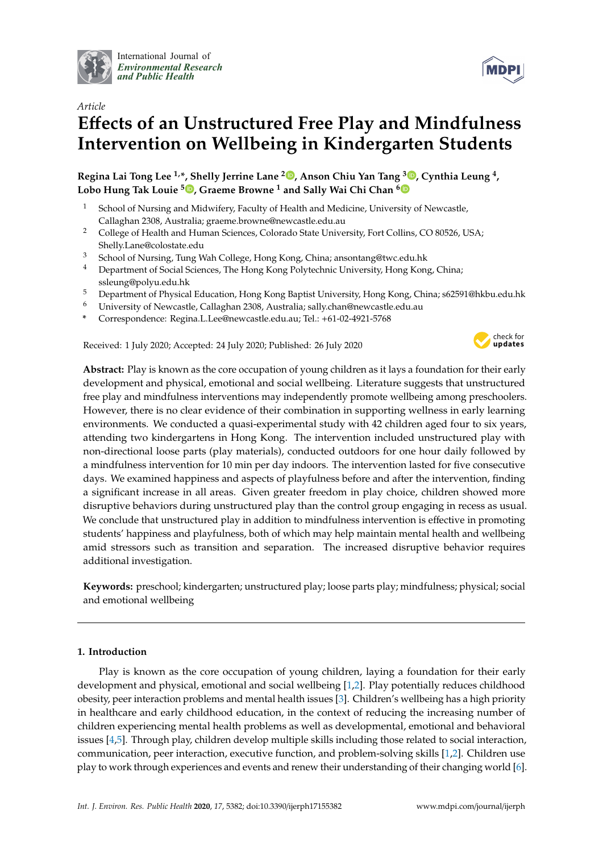

International Journal of *[Environmental Research](http://www.mdpi.com/journal/ijerph) and Public Health*



# *Article* **E**ff**ects of an Unstructured Free Play and Mindfulness Intervention on Wellbeing in Kindergarten Students**

**Regina Lai Tong Lee 1,\*, Shelly Jerrine Lane <sup>2</sup> [,](https://orcid.org/0000-0002-3689-1760) Anson Chiu Yan Tang <sup>3</sup> [,](https://orcid.org/0000-0002-4293-8449) Cynthia Leung <sup>4</sup> , Lobo Hung Tak Louie <sup>5</sup> [,](https://orcid.org/0000-0001-7981-598X) Graeme Browne <sup>1</sup> and Sally Wai Chi Chan [6](https://orcid.org/0000-0001-5484-4645)**

- <sup>1</sup> School of Nursing and Midwifery, Faculty of Health and Medicine, University of Newcastle, Callaghan 2308, Australia; graeme.browne@newcastle.edu.au
- <sup>2</sup> College of Health and Human Sciences, Colorado State University, Fort Collins, CO 80526, USA; Shelly.Lane@colostate.edu
- <sup>3</sup> School of Nursing, Tung Wah College, Hong Kong, China; ansontang@twc.edu.hk
- <sup>4</sup> Department of Social Sciences, The Hong Kong Polytechnic University, Hong Kong, China; ssleung@polyu.edu.hk
- <sup>5</sup> Department of Physical Education, Hong Kong Baptist University, Hong Kong, China; s62591@hkbu.edu.hk
- <sup>6</sup> University of Newcastle, Callaghan 2308, Australia; sally.chan@newcastle.edu.au
- **\*** Correspondence: Regina.L.Lee@newcastle.edu.au; Tel.: +61-02-4921-5768

Received: 1 July 2020; Accepted: 24 July 2020; Published: 26 July 2020



**Abstract:** Play is known as the core occupation of young children as it lays a foundation for their early development and physical, emotional and social wellbeing. Literature suggests that unstructured free play and mindfulness interventions may independently promote wellbeing among preschoolers. However, there is no clear evidence of their combination in supporting wellness in early learning environments. We conducted a quasi-experimental study with 42 children aged four to six years, attending two kindergartens in Hong Kong. The intervention included unstructured play with non-directional loose parts (play materials), conducted outdoors for one hour daily followed by a mindfulness intervention for 10 min per day indoors. The intervention lasted for five consecutive days. We examined happiness and aspects of playfulness before and after the intervention, finding a significant increase in all areas. Given greater freedom in play choice, children showed more disruptive behaviors during unstructured play than the control group engaging in recess as usual. We conclude that unstructured play in addition to mindfulness intervention is effective in promoting students' happiness and playfulness, both of which may help maintain mental health and wellbeing amid stressors such as transition and separation. The increased disruptive behavior requires additional investigation.

**Keywords:** preschool; kindergarten; unstructured play; loose parts play; mindfulness; physical; social and emotional wellbeing

# **1. Introduction**

Play is known as the core occupation of young children, laying a foundation for their early development and physical, emotional and social wellbeing [\[1](#page-12-0)[,2\]](#page-12-1). Play potentially reduces childhood obesity, peer interaction problems and mental health issues [\[3\]](#page-12-2). Children's wellbeing has a high priority in healthcare and early childhood education, in the context of reducing the increasing number of children experiencing mental health problems as well as developmental, emotional and behavioral issues [\[4](#page-12-3)[,5\]](#page-12-4). Through play, children develop multiple skills including those related to social interaction, communication, peer interaction, executive function, and problem-solving skills [\[1](#page-12-0)[,2\]](#page-12-1). Children use play to work through experiences and events and renew their understanding of their changing world [\[6\]](#page-12-5).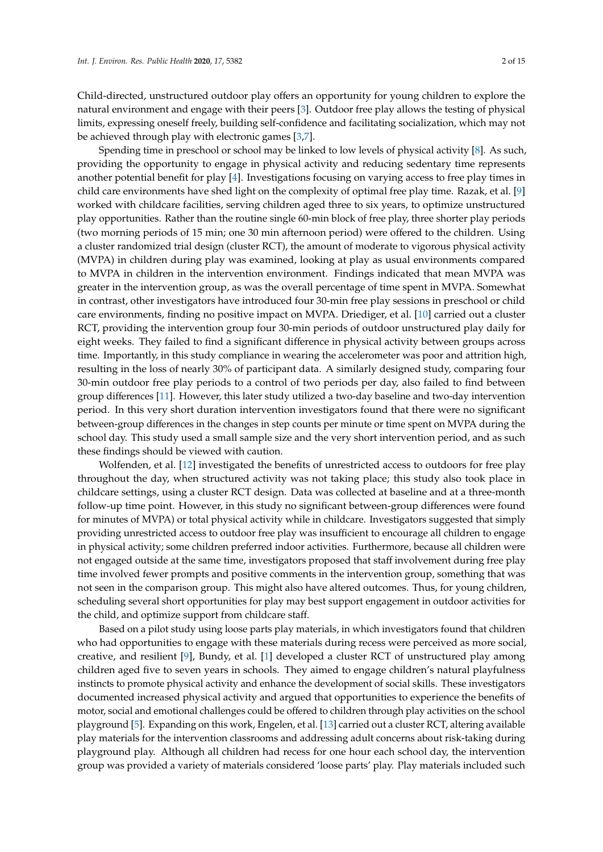Child-directed, unstructured outdoor play offers an opportunity for young children to explore the natural environment and engage with their peers [\[3\]](#page-12-2). Outdoor free play allows the testing of physical limits, expressing oneself freely, building self-confidence and facilitating socialization, which may not be achieved through play with electronic games [\[3](#page-12-2)[,7\]](#page-12-6).

Spending time in preschool or school may be linked to low levels of physical activity [\[8\]](#page-12-7). As such, providing the opportunity to engage in physical activity and reducing sedentary time represents another potential benefit for play [\[4\]](#page-12-3). Investigations focusing on varying access to free play times in child care environments have shed light on the complexity of optimal free play time. Razak, et al. [\[9\]](#page-12-8) worked with childcare facilities, serving children aged three to six years, to optimize unstructured play opportunities. Rather than the routine single 60-min block of free play, three shorter play periods (two morning periods of 15 min; one 30 min afternoon period) were offered to the children. Using a cluster randomized trial design (cluster RCT), the amount of moderate to vigorous physical activity (MVPA) in children during play was examined, looking at play as usual environments compared to MVPA in children in the intervention environment. Findings indicated that mean MVPA was greater in the intervention group, as was the overall percentage of time spent in MVPA. Somewhat in contrast, other investigators have introduced four 30-min free play sessions in preschool or child care environments, finding no positive impact on MVPA. Driediger, et al. [\[10\]](#page-12-9) carried out a cluster RCT, providing the intervention group four 30-min periods of outdoor unstructured play daily for eight weeks. They failed to find a significant difference in physical activity between groups across time. Importantly, in this study compliance in wearing the accelerometer was poor and attrition high, resulting in the loss of nearly 30% of participant data. A similarly designed study, comparing four 30-min outdoor free play periods to a control of two periods per day, also failed to find between group differences [\[11\]](#page-12-10). However, this later study utilized a two-day baseline and two-day intervention period. In this very short duration intervention investigators found that there were no significant between-group differences in the changes in step counts per minute or time spent on MVPA during the school day. This study used a small sample size and the very short intervention period, and as such these findings should be viewed with caution.

Wolfenden, et al. [\[12\]](#page-12-11) investigated the benefits of unrestricted access to outdoors for free play throughout the day, when structured activity was not taking place; this study also took place in childcare settings, using a cluster RCT design. Data was collected at baseline and at a three-month follow-up time point. However, in this study no significant between-group differences were found for minutes of MVPA) or total physical activity while in childcare. Investigators suggested that simply providing unrestricted access to outdoor free play was insufficient to encourage all children to engage in physical activity; some children preferred indoor activities. Furthermore, because all children were not engaged outside at the same time, investigators proposed that staff involvement during free play time involved fewer prompts and positive comments in the intervention group, something that was not seen in the comparison group. This might also have altered outcomes. Thus, for young children, scheduling several short opportunities for play may best support engagement in outdoor activities for the child, and optimize support from childcare staff.

Based on a pilot study using loose parts play materials, in which investigators found that children who had opportunities to engage with these materials during recess were perceived as more social, creative, and resilient [\[9\]](#page-12-8), Bundy, et al. [\[1\]](#page-12-0) developed a cluster RCT of unstructured play among children aged five to seven years in schools. They aimed to engage children's natural playfulness instincts to promote physical activity and enhance the development of social skills. These investigators documented increased physical activity and argued that opportunities to experience the benefits of motor, social and emotional challenges could be offered to children through play activities on the school playground [\[5\]](#page-12-4). Expanding on this work, Engelen, et al. [\[13\]](#page-12-12) carried out a cluster RCT, altering available play materials for the intervention classrooms and addressing adult concerns about risk-taking during playground play. Although all children had recess for one hour each school day, the intervention group was provided a variety of materials considered 'loose parts' play. Play materials included such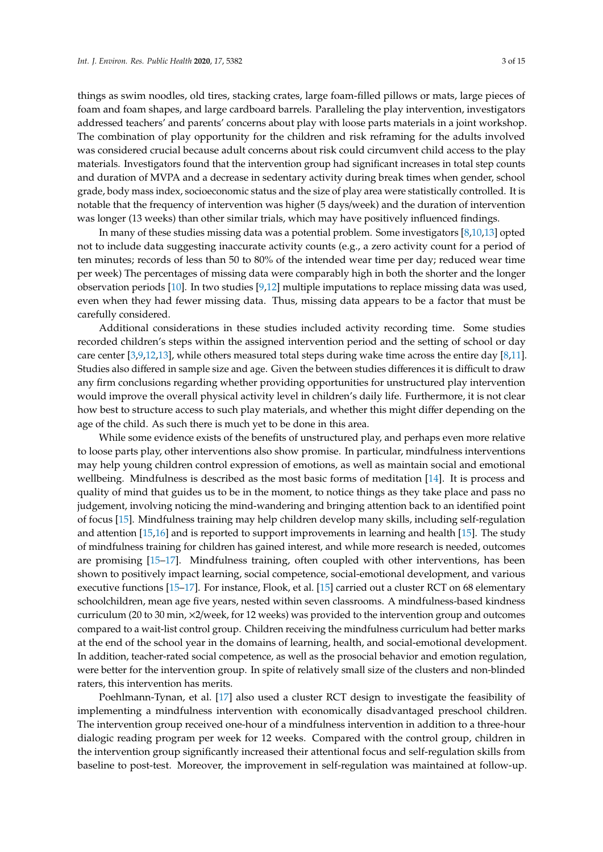things as swim noodles, old tires, stacking crates, large foam-filled pillows or mats, large pieces of foam and foam shapes, and large cardboard barrels. Paralleling the play intervention, investigators addressed teachers' and parents' concerns about play with loose parts materials in a joint workshop. The combination of play opportunity for the children and risk reframing for the adults involved was considered crucial because adult concerns about risk could circumvent child access to the play materials. Investigators found that the intervention group had significant increases in total step counts and duration of MVPA and a decrease in sedentary activity during break times when gender, school grade, body mass index, socioeconomic status and the size of play area were statistically controlled. It is notable that the frequency of intervention was higher (5 days/week) and the duration of intervention was longer (13 weeks) than other similar trials, which may have positively influenced findings.

In many of these studies missing data was a potential problem. Some investigators [\[8](#page-12-7)[,10](#page-12-9)[,13\]](#page-12-12) opted not to include data suggesting inaccurate activity counts (e.g., a zero activity count for a period of ten minutes; records of less than 50 to 80% of the intended wear time per day; reduced wear time per week) The percentages of missing data were comparably high in both the shorter and the longer observation periods [\[10\]](#page-12-9). In two studies [\[9](#page-12-8)[,12\]](#page-12-11) multiple imputations to replace missing data was used, even when they had fewer missing data. Thus, missing data appears to be a factor that must be carefully considered.

Additional considerations in these studies included activity recording time. Some studies recorded children's steps within the assigned intervention period and the setting of school or day care center [\[3](#page-12-2)[,9](#page-12-8)[,12](#page-12-11)[,13\]](#page-12-12), while others measured total steps during wake time across the entire day [\[8](#page-12-7)[,11\]](#page-12-10). Studies also differed in sample size and age. Given the between studies differences it is difficult to draw any firm conclusions regarding whether providing opportunities for unstructured play intervention would improve the overall physical activity level in children's daily life. Furthermore, it is not clear how best to structure access to such play materials, and whether this might differ depending on the age of the child. As such there is much yet to be done in this area.

While some evidence exists of the benefits of unstructured play, and perhaps even more relative to loose parts play, other interventions also show promise. In particular, mindfulness interventions may help young children control expression of emotions, as well as maintain social and emotional wellbeing. Mindfulness is described as the most basic forms of meditation [\[14\]](#page-12-13). It is process and quality of mind that guides us to be in the moment, to notice things as they take place and pass no judgement, involving noticing the mind-wandering and bringing attention back to an identified point of focus [\[15\]](#page-13-0). Mindfulness training may help children develop many skills, including self-regulation and attention [\[15](#page-13-0)[,16\]](#page-13-1) and is reported to support improvements in learning and health [\[15\]](#page-13-0). The study of mindfulness training for children has gained interest, and while more research is needed, outcomes are promising [\[15](#page-13-0)[–17\]](#page-13-2). Mindfulness training, often coupled with other interventions, has been shown to positively impact learning, social competence, social-emotional development, and various executive functions [\[15](#page-13-0)[–17\]](#page-13-2). For instance, Flook, et al. [\[15\]](#page-13-0) carried out a cluster RCT on 68 elementary schoolchildren, mean age five years, nested within seven classrooms. A mindfulness-based kindness curriculum (20 to 30 min, ×2/week, for 12 weeks) was provided to the intervention group and outcomes compared to a wait-list control group. Children receiving the mindfulness curriculum had better marks at the end of the school year in the domains of learning, health, and social-emotional development. In addition, teacher-rated social competence, as well as the prosocial behavior and emotion regulation, were better for the intervention group. In spite of relatively small size of the clusters and non-blinded raters, this intervention has merits.

Poehlmann-Tynan, et al. [\[17\]](#page-13-2) also used a cluster RCT design to investigate the feasibility of implementing a mindfulness intervention with economically disadvantaged preschool children. The intervention group received one-hour of a mindfulness intervention in addition to a three-hour dialogic reading program per week for 12 weeks. Compared with the control group, children in the intervention group significantly increased their attentional focus and self-regulation skills from baseline to post-test. Moreover, the improvement in self-regulation was maintained at follow-up.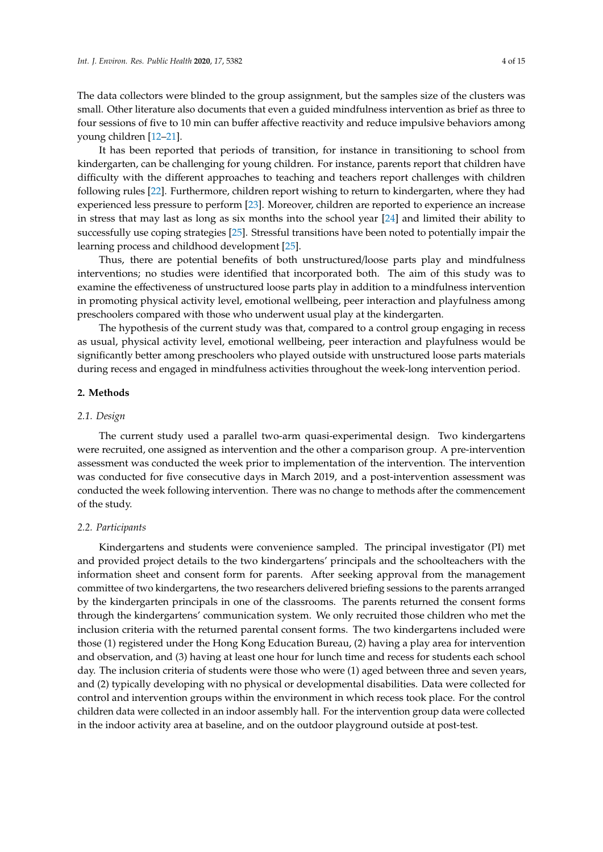The data collectors were blinded to the group assignment, but the samples size of the clusters was small. Other literature also documents that even a guided mindfulness intervention as brief as three to four sessions of five to 10 min can buffer affective reactivity and reduce impulsive behaviors among young children [\[12](#page-12-11)[–21\]](#page-13-3).

It has been reported that periods of transition, for instance in transitioning to school from kindergarten, can be challenging for young children. For instance, parents report that children have difficulty with the different approaches to teaching and teachers report challenges with children following rules [\[22\]](#page-13-4). Furthermore, children report wishing to return to kindergarten, where they had experienced less pressure to perform [\[23\]](#page-13-5). Moreover, children are reported to experience an increase in stress that may last as long as six months into the school year [\[24\]](#page-13-6) and limited their ability to successfully use coping strategies [\[25\]](#page-13-7). Stressful transitions have been noted to potentially impair the learning process and childhood development [\[25\]](#page-13-7).

Thus, there are potential benefits of both unstructured/loose parts play and mindfulness interventions; no studies were identified that incorporated both. The aim of this study was to examine the effectiveness of unstructured loose parts play in addition to a mindfulness intervention in promoting physical activity level, emotional wellbeing, peer interaction and playfulness among preschoolers compared with those who underwent usual play at the kindergarten.

The hypothesis of the current study was that, compared to a control group engaging in recess as usual, physical activity level, emotional wellbeing, peer interaction and playfulness would be significantly better among preschoolers who played outside with unstructured loose parts materials during recess and engaged in mindfulness activities throughout the week-long intervention period.

# **2. Methods**

# *2.1. Design*

The current study used a parallel two-arm quasi-experimental design. Two kindergartens were recruited, one assigned as intervention and the other a comparison group. A pre-intervention assessment was conducted the week prior to implementation of the intervention. The intervention was conducted for five consecutive days in March 2019, and a post-intervention assessment was conducted the week following intervention. There was no change to methods after the commencement of the study.

#### *2.2. Participants*

Kindergartens and students were convenience sampled. The principal investigator (PI) met and provided project details to the two kindergartens' principals and the schoolteachers with the information sheet and consent form for parents. After seeking approval from the management committee of two kindergartens, the two researchers delivered briefing sessions to the parents arranged by the kindergarten principals in one of the classrooms. The parents returned the consent forms through the kindergartens' communication system. We only recruited those children who met the inclusion criteria with the returned parental consent forms. The two kindergartens included were those (1) registered under the Hong Kong Education Bureau, (2) having a play area for intervention and observation, and (3) having at least one hour for lunch time and recess for students each school day. The inclusion criteria of students were those who were (1) aged between three and seven years, and (2) typically developing with no physical or developmental disabilities. Data were collected for control and intervention groups within the environment in which recess took place. For the control children data were collected in an indoor assembly hall. For the intervention group data were collected in the indoor activity area at baseline, and on the outdoor playground outside at post-test.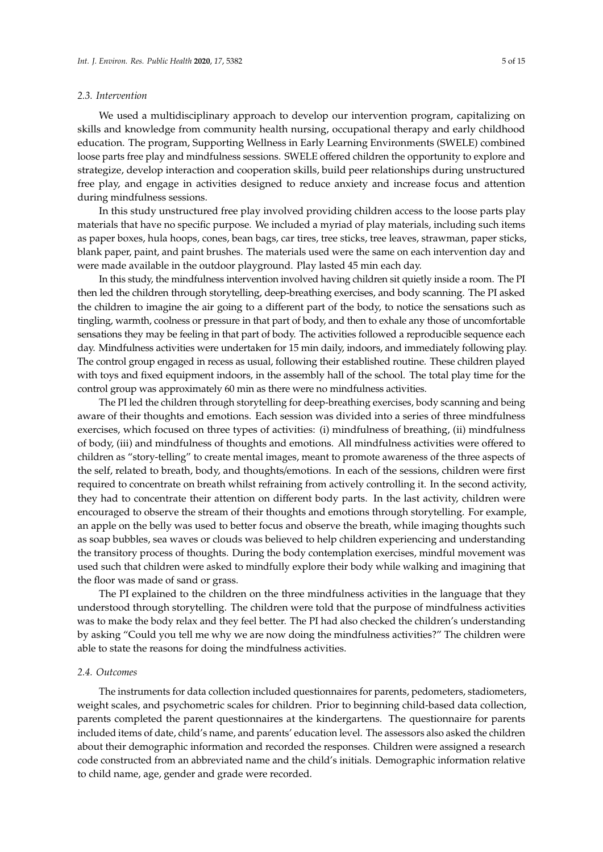#### *2.3. Intervention*

We used a multidisciplinary approach to develop our intervention program, capitalizing on skills and knowledge from community health nursing, occupational therapy and early childhood education. The program, Supporting Wellness in Early Learning Environments (SWELE) combined loose parts free play and mindfulness sessions. SWELE offered children the opportunity to explore and strategize, develop interaction and cooperation skills, build peer relationships during unstructured free play, and engage in activities designed to reduce anxiety and increase focus and attention during mindfulness sessions.

In this study unstructured free play involved providing children access to the loose parts play materials that have no specific purpose. We included a myriad of play materials, including such items as paper boxes, hula hoops, cones, bean bags, car tires, tree sticks, tree leaves, strawman, paper sticks, blank paper, paint, and paint brushes. The materials used were the same on each intervention day and were made available in the outdoor playground. Play lasted 45 min each day.

In this study, the mindfulness intervention involved having children sit quietly inside a room. The PI then led the children through storytelling, deep-breathing exercises, and body scanning. The PI asked the children to imagine the air going to a different part of the body, to notice the sensations such as tingling, warmth, coolness or pressure in that part of body, and then to exhale any those of uncomfortable sensations they may be feeling in that part of body. The activities followed a reproducible sequence each day. Mindfulness activities were undertaken for 15 min daily, indoors, and immediately following play. The control group engaged in recess as usual, following their established routine. These children played with toys and fixed equipment indoors, in the assembly hall of the school. The total play time for the control group was approximately 60 min as there were no mindfulness activities.

The PI led the children through storytelling for deep-breathing exercises, body scanning and being aware of their thoughts and emotions. Each session was divided into a series of three mindfulness exercises, which focused on three types of activities: (i) mindfulness of breathing, (ii) mindfulness of body, (iii) and mindfulness of thoughts and emotions. All mindfulness activities were offered to children as "story-telling" to create mental images, meant to promote awareness of the three aspects of the self, related to breath, body, and thoughts/emotions. In each of the sessions, children were first required to concentrate on breath whilst refraining from actively controlling it. In the second activity, they had to concentrate their attention on different body parts. In the last activity, children were encouraged to observe the stream of their thoughts and emotions through storytelling. For example, an apple on the belly was used to better focus and observe the breath, while imaging thoughts such as soap bubbles, sea waves or clouds was believed to help children experiencing and understanding the transitory process of thoughts. During the body contemplation exercises, mindful movement was used such that children were asked to mindfully explore their body while walking and imagining that the floor was made of sand or grass.

The PI explained to the children on the three mindfulness activities in the language that they understood through storytelling. The children were told that the purpose of mindfulness activities was to make the body relax and they feel better. The PI had also checked the children's understanding by asking "Could you tell me why we are now doing the mindfulness activities?" The children were able to state the reasons for doing the mindfulness activities.

#### *2.4. Outcomes*

The instruments for data collection included questionnaires for parents, pedometers, stadiometers, weight scales, and psychometric scales for children. Prior to beginning child-based data collection, parents completed the parent questionnaires at the kindergartens. The questionnaire for parents included items of date, child's name, and parents' education level. The assessors also asked the children about their demographic information and recorded the responses. Children were assigned a research code constructed from an abbreviated name and the child's initials. Demographic information relative to child name, age, gender and grade were recorded.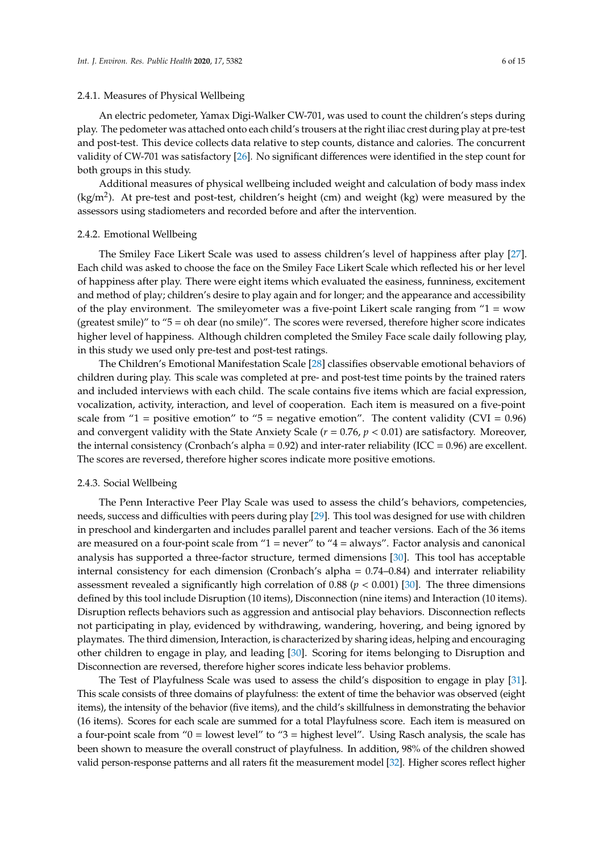## 2.4.1. Measures of Physical Wellbeing

An electric pedometer, Yamax Digi-Walker CW-701, was used to count the children's steps during play. The pedometer was attached onto each child's trousers at the right iliac crest during play at pre-test and post-test. This device collects data relative to step counts, distance and calories. The concurrent validity of CW-701 was satisfactory [\[26\]](#page-13-8). No significant differences were identified in the step count for both groups in this study.

Additional measures of physical wellbeing included weight and calculation of body mass index (kg/m<sup>2</sup>). At pre-test and post-test, children's height (cm) and weight (kg) were measured by the assessors using stadiometers and recorded before and after the intervention.

## 2.4.2. Emotional Wellbeing

The Smiley Face Likert Scale was used to assess children's level of happiness after play [\[27\]](#page-13-9). Each child was asked to choose the face on the Smiley Face Likert Scale which reflected his or her level of happiness after play. There were eight items which evaluated the easiness, funniness, excitement and method of play; children's desire to play again and for longer; and the appearance and accessibility of the play environment. The smileyometer was a five-point Likert scale ranging from "1 = wow (greatest smile)" to "5 = oh dear (no smile)". The scores were reversed, therefore higher score indicates higher level of happiness. Although children completed the Smiley Face scale daily following play, in this study we used only pre-test and post-test ratings.

The Children's Emotional Manifestation Scale [\[28\]](#page-13-10) classifies observable emotional behaviors of children during play. This scale was completed at pre- and post-test time points by the trained raters and included interviews with each child. The scale contains five items which are facial expression, vocalization, activity, interaction, and level of cooperation. Each item is measured on a five-point scale from "1 = positive emotion" to "5 = negative emotion". The content validity (CVI =  $0.96$ ) and convergent validity with the State Anxiety Scale (*r* = 0.76, *p* < 0.01) are satisfactory. Moreover, the internal consistency (Cronbach's alpha =  $0.92$ ) and inter-rater reliability (ICC =  $0.96$ ) are excellent. The scores are reversed, therefore higher scores indicate more positive emotions.

# 2.4.3. Social Wellbeing

The Penn Interactive Peer Play Scale was used to assess the child's behaviors, competencies, needs, success and difficulties with peers during play [\[29\]](#page-13-11). This tool was designed for use with children in preschool and kindergarten and includes parallel parent and teacher versions. Each of the 36 items are measured on a four-point scale from " $1 =$  never" to " $4 =$  always". Factor analysis and canonical analysis has supported a three-factor structure, termed dimensions [\[30\]](#page-13-12). This tool has acceptable internal consistency for each dimension (Cronbach's alpha = 0.74–0.84) and interrater reliability assessment revealed a significantly high correlation of 0.88 (*p* < 0.001) [\[30\]](#page-13-12). The three dimensions defined by this tool include Disruption (10 items), Disconnection (nine items) and Interaction (10 items). Disruption reflects behaviors such as aggression and antisocial play behaviors. Disconnection reflects not participating in play, evidenced by withdrawing, wandering, hovering, and being ignored by playmates. The third dimension, Interaction, is characterized by sharing ideas, helping and encouraging other children to engage in play, and leading [\[30\]](#page-13-12). Scoring for items belonging to Disruption and Disconnection are reversed, therefore higher scores indicate less behavior problems.

The Test of Playfulness Scale was used to assess the child's disposition to engage in play [\[31\]](#page-13-13). This scale consists of three domains of playfulness: the extent of time the behavior was observed (eight items), the intensity of the behavior (five items), and the child's skillfulness in demonstrating the behavior (16 items). Scores for each scale are summed for a total Playfulness score. Each item is measured on a four-point scale from " $0 =$  lowest level" to " $3 =$  highest level". Using Rasch analysis, the scale has been shown to measure the overall construct of playfulness. In addition, 98% of the children showed valid person-response patterns and all raters fit the measurement model [\[32\]](#page-13-14). Higher scores reflect higher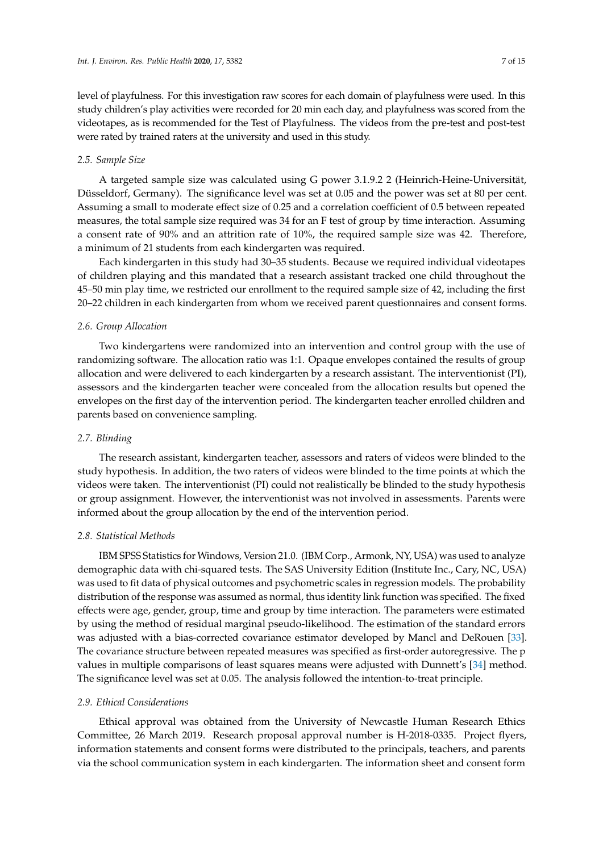level of playfulness. For this investigation raw scores for each domain of playfulness were used. In this study children's play activities were recorded for 20 min each day, and playfulness was scored from the videotapes, as is recommended for the Test of Playfulness. The videos from the pre-test and post-test were rated by trained raters at the university and used in this study.

# *2.5. Sample Size*

A targeted sample size was calculated using G power 3.1.9.2 2 (Heinrich-Heine-Universität, Düsseldorf, Germany). The significance level was set at 0.05 and the power was set at 80 per cent. Assuming a small to moderate effect size of 0.25 and a correlation coefficient of 0.5 between repeated measures, the total sample size required was 34 for an F test of group by time interaction. Assuming a consent rate of 90% and an attrition rate of 10%, the required sample size was 42. Therefore, a minimum of 21 students from each kindergarten was required.

Each kindergarten in this study had 30–35 students. Because we required individual videotapes of children playing and this mandated that a research assistant tracked one child throughout the 45–50 min play time, we restricted our enrollment to the required sample size of 42, including the first 20–22 children in each kindergarten from whom we received parent questionnaires and consent forms.

# *2.6. Group Allocation*

Two kindergartens were randomized into an intervention and control group with the use of randomizing software. The allocation ratio was 1:1. Opaque envelopes contained the results of group allocation and were delivered to each kindergarten by a research assistant. The interventionist (PI), assessors and the kindergarten teacher were concealed from the allocation results but opened the envelopes on the first day of the intervention period. The kindergarten teacher enrolled children and parents based on convenience sampling.

# *2.7. Blinding*

The research assistant, kindergarten teacher, assessors and raters of videos were blinded to the study hypothesis. In addition, the two raters of videos were blinded to the time points at which the videos were taken. The interventionist (PI) could not realistically be blinded to the study hypothesis or group assignment. However, the interventionist was not involved in assessments. Parents were informed about the group allocation by the end of the intervention period.

#### *2.8. Statistical Methods*

IBM SPSS Statistics for Windows, Version 21.0. (IBM Corp., Armonk, NY, USA) was used to analyze demographic data with chi-squared tests. The SAS University Edition (Institute Inc., Cary, NC, USA) was used to fit data of physical outcomes and psychometric scales in regression models. The probability distribution of the response was assumed as normal, thus identity link function was specified. The fixed effects were age, gender, group, time and group by time interaction. The parameters were estimated by using the method of residual marginal pseudo-likelihood. The estimation of the standard errors was adjusted with a bias-corrected covariance estimator developed by Mancl and DeRouen [\[33\]](#page-13-15). The covariance structure between repeated measures was specified as first-order autoregressive. The p values in multiple comparisons of least squares means were adjusted with Dunnett's [\[34\]](#page-13-16) method. The significance level was set at 0.05. The analysis followed the intention-to-treat principle.

# *2.9. Ethical Considerations*

Ethical approval was obtained from the University of Newcastle Human Research Ethics Committee, 26 March 2019. Research proposal approval number is H-2018-0335. Project flyers, information statements and consent forms were distributed to the principals, teachers, and parents via the school communication system in each kindergarten. The information sheet and consent form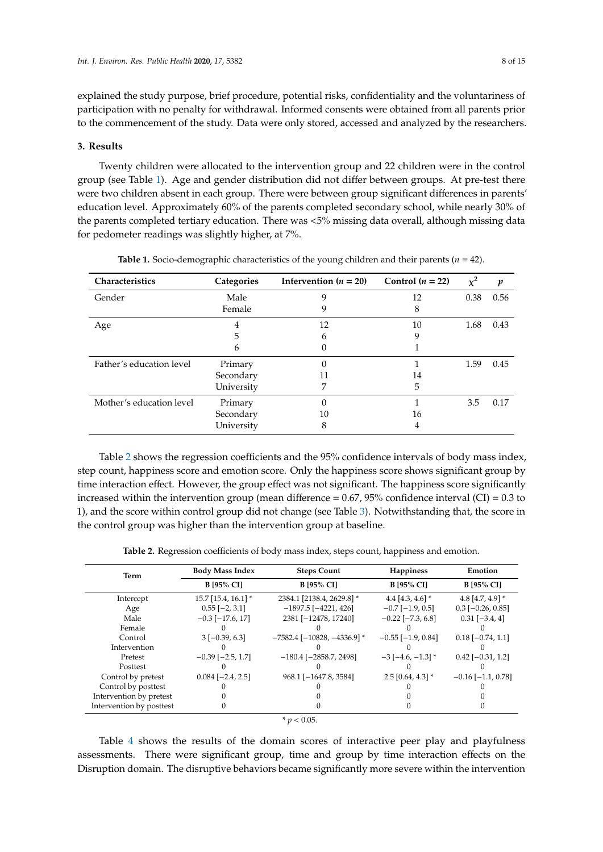explained the study purpose, brief procedure, potential risks, confidentiality and the voluntariness of participation with no penalty for withdrawal. Informed consents were obtained from all parents prior to the commencement of the study. Data were only stored, accessed and analyzed by the researchers.

#### **3. Results**

Twenty children were allocated to the intervention group and 22 children were in the control group (see Table [1\)](#page-7-0). Age and gender distribution did not differ between groups. At pre-test there were two children absent in each group. There were between group significant differences in parents' education level. Approximately 60% of the parents completed secondary school, while nearly 30% of the parents completed tertiary education. There was <5% missing data overall, although missing data for pedometer readings was slightly higher, at 7%.

<span id="page-7-0"></span>

| Characteristics          | Categories | Intervention $(n = 20)$ | Control $(n = 22)$ | $\chi^2$ | p    |
|--------------------------|------------|-------------------------|--------------------|----------|------|
| Gender                   | Male       |                         | 12                 | 0.38     | 0.56 |
|                          | Female     |                         | 8                  |          |      |
| Age                      | 4          | 12                      | 10                 | 1.68     | 0.43 |
|                          | 5          | 6                       | 9                  |          |      |
|                          | 6          |                         |                    |          |      |
| Father's education level | Primary    |                         |                    | 1.59     | 0.45 |
|                          | Secondary  | 11                      | 14                 |          |      |
|                          | University | 7                       | 5                  |          |      |
| Mother's education level | Primary    |                         |                    | 3.5      | 0.17 |
|                          | Secondary  | 10                      | 16                 |          |      |
|                          | University | 8                       | 4                  |          |      |

**Table 1.** Socio-demographic characteristics of the young children and their parents (*n* = 42).

Table [2](#page-7-1) shows the regression coefficients and the 95% confidence intervals of body mass index, step count, happiness score and emotion score. Only the happiness score shows significant group by time interaction effect. However, the group effect was not significant. The happiness score significantly increased within the intervention group (mean difference =  $0.67$ ,  $95\%$  confidence interval (CI) =  $0.3$  to 1), and the score within control group did not change (see Table [3\)](#page-8-0). Notwithstanding that, the score in the control group was higher than the intervention group at baseline.

**Table 2.** Regression coefficients of body mass index, steps count, happiness and emotion.

<span id="page-7-1"></span>

| Term                     | <b>Body Mass Index</b>  | <b>Steps Count</b>                |                            | Emotion                  |  |
|--------------------------|-------------------------|-----------------------------------|----------------------------|--------------------------|--|
|                          | <b>B</b> [95% CI]       | <b>B</b> [95% CI]                 | <b>B</b> [95% CI]          | <b>B</b> [95% CI]        |  |
| Intercept                | 15.7 [15.4, 16.1] *     | 2384.1 [2138.4, 2629.8] *         | 4.4 [4.3, 4.6] $*$         | $4.8$ [4.7, 4.9] $*$     |  |
| Age                      | $0.55$ [-2, 3.1]        | $-1897.5$ [ $-4221, 426$ ]        | $-0.7$ [ $-1.9$ , 0.5]     | $0.3$ [-0.26, 0.85]      |  |
| Male                     | $-0.3$ [ $-17.6$ , 17]  | 2381 [-12478, 17240]              | $-0.22$ [ $-7.3$ , 6.8]    | $0.31$ [-3.4, 4]         |  |
| Female                   |                         |                                   |                            |                          |  |
| Control                  | $3[-0.39, 6.3]$         | $-7582.4$ [ $-10828, -4336.9$ ] * | $-0.55$ [ $-1.9$ , 0.84]   | $0.18$ [ $-0.74$ , 1.1]  |  |
| Intervention             |                         |                                   |                            |                          |  |
| Pretest                  | $-0.39$ [ $-2.5$ , 1.7] | $-180.4$ [ $-2858.7$ , 2498]      | $-3$ [ $-4.6$ , $-1.3$ ] * | $0.42$ [-0.31, 1.2]      |  |
| Posttest                 |                         |                                   |                            |                          |  |
| Control by pretest       | $0.084$ [-2.4, 2.5]     | 968.1 [-1647.8, 3584]             | $2.5$ [0.64, 4.3] $*$      | $-0.16$ [ $-1.1$ , 0.78] |  |
| Control by posttest      |                         |                                   |                            |                          |  |
| Intervention by pretest  |                         |                                   |                            |                          |  |
| Intervention by posttest |                         |                                   |                            |                          |  |
| * $p < 0.05$ .           |                         |                                   |                            |                          |  |

Table [4](#page-9-0) shows the results of the domain scores of interactive peer play and playfulness assessments. There were significant group, time and group by time interaction effects on the Disruption domain. The disruptive behaviors became significantly more severe within the intervention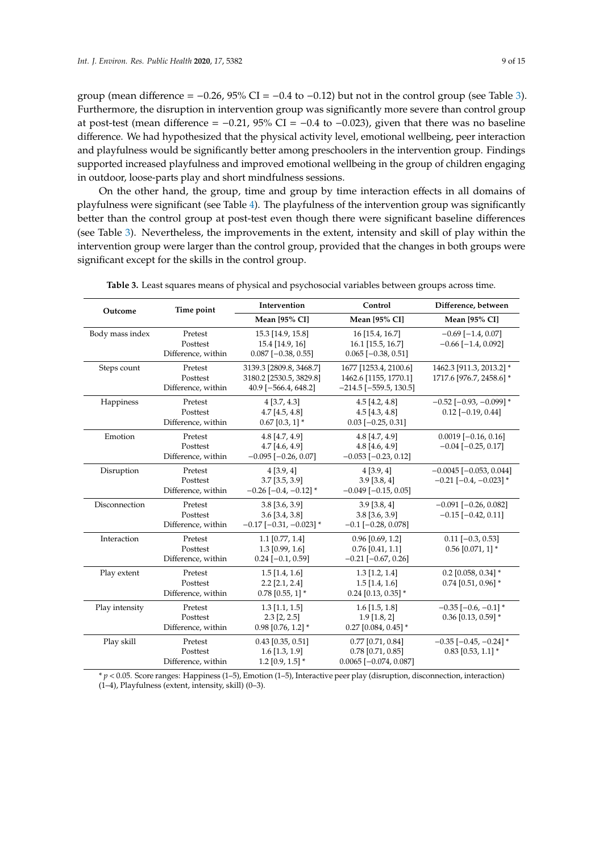group (mean difference =  $-0.26$ , 95% CI =  $-0.4$  to  $-0.12$ ) but not in the control group (see Table [3\)](#page-8-0). Furthermore, the disruption in intervention group was significantly more severe than control group at post-test (mean difference =  $-0.21$ , 95% CI =  $-0.4$  to  $-0.023$ ), given that there was no baseline difference. We had hypothesized that the physical activity level, emotional wellbeing, peer interaction and playfulness would be significantly better among preschoolers in the intervention group. Findings supported increased playfulness and improved emotional wellbeing in the group of children engaging in outdoor, loose-parts play and short mindfulness sessions.

On the other hand, the group, time and group by time interaction effects in all domains of playfulness were significant (see Table [4\)](#page-9-0). The playfulness of the intervention group was significantly better than the control group at post-test even though there were significant baseline differences (see Table [3\)](#page-8-0). Nevertheless, the improvements in the extent, intensity and skill of play within the intervention group were larger than the control group, provided that the changes in both groups were significant except for the skills in the control group.

<span id="page-8-0"></span>

| Outcome         | Time point                                | Intervention                                                                 | Control                                                                        | Difference, between                                              |  |
|-----------------|-------------------------------------------|------------------------------------------------------------------------------|--------------------------------------------------------------------------------|------------------------------------------------------------------|--|
|                 |                                           | Mean [95% CI]                                                                | Mean [95% CI]                                                                  | Mean [95% CI]                                                    |  |
| Body mass index | Pretest<br>Posttest<br>Difference, within | 15.3 [14.9, 15.8]<br>15.4 [14.9, 16]<br>$0.087$ [ $-0.38$ , $0.55$ ]         | 16 [15.4, 16.7]<br>16.1 [15.5, 16.7]<br>$0.065$ [ $-0.38$ , $0.51$ ]           | $-0.69$ [ $-1.4$ , 0.07]<br>$-0.66$ [ $-1.4$ , 0.092]            |  |
| Steps count     | Pretest<br>Posttest<br>Difference, within | 3139.3 [2809.8, 3468.7]<br>3180.2 [2530.5, 3829.8]<br>$40.9$ [-566.4, 648.2] | 1677 [1253.4, 2100.6]<br>1462.6 [1155, 1770.1]<br>$-214.5$ [ $-559.5$ , 130.5] | 1462.3 [911.3, 2013.2] *<br>1717.6 [976.7, 2458.6] *             |  |
| Happiness       | Pretest<br>Posttest<br>Difference, within | $4$ [3.7, 4.3]<br>$4.7$ [4.5, 4.8]<br>$0.67$ [0.3, 1] *                      | $4.5$ [4.2, 4.8]<br>$4.5$ [4.3, 4.8]<br>$0.03$ [ $-0.25$ , $0.31$ ]            | $-0.52$ [ $-0.93$ , $-0.099$ ] *<br>$0.12$ [-0.19, 0.44]         |  |
| Emotion         | Pretest<br>Posttest<br>Difference, within | 4.8 [4.7, 4.9]<br>$4.7$ [4.6, 4.9]<br>$-0.095$ [ $-0.26$ , 0.07]             | 4.8 [4.7, 4.9]<br>$4.8$ [4.6, 4.9]<br>$-0.053$ [ $-0.23$ , 0.12]               | $0.0019$ [-0.16, 0.16]<br>$-0.04$ [ $-0.25$ , 0.17]              |  |
| Disruption      | Pretest<br>Posttest<br>Difference, within | 4[3.9, 4]<br>$3.7$ [ $3.5$ , $3.9$ ]<br>$-0.26$ [ $-0.4$ , $-0.12$ ] *       | 4 [3.9, 4]<br>$3.9$ [ $3.8, 4$ ]<br>$-0.049$ [ $-0.15$ , 0.05]                 | $-0.0045$ [ $-0.053$ , 0.044]<br>$-0.21$ [ $-0.4$ , $-0.023$ ] * |  |
| Disconnection   | Pretest<br>Posttest<br>Difference, within | 3.8 [3.6, 3.9]<br>3.6 [3.4, 3.8]<br>$-0.17$ [ $-0.31$ , $-0.023$ ] *         | $3.9$ [ $3.8, 4$ ]<br>3.8 [3.6, 3.9]<br>$-0.1$ [ $-0.28$ , 0.078]              | $-0.091$ [ $-0.26$ , 0.082]<br>$-0.15$ [ $-0.42$ , 0.11]         |  |
| Interaction     | Pretest<br>Posttest<br>Difference, within | $1.1$ [0.77, 1.4]<br>$1.3$ [0.99, 1.6]<br>$0.24$ [-0.1, 0.59]                | $0.96$ [0.69, 1.2]<br>$0.76$ [0.41, 1.1]<br>$-0.21$ [ $-0.67$ , 0.26]          | $0.11$ [-0.3, 0.53]<br>$0.56$ [0.071, 1] *                       |  |
| Play extent     | Pretest<br>Posttest<br>Difference, within | $1.5$ [1.4, 1.6]<br>$2.2$ [2.1, 2.4]<br>$0.78$ [0.55, 1] *                   | $1.3$ [1.2, 1.4]<br>$1.5$ [1.4, 1.6]<br>$0.24$ [0.13, 0.35] *                  | 0.2 [0.058, 0.34] $*$<br>$0.74$ [0.51, 0.96] *                   |  |
| Play intensity  | Pretest<br>Posttest<br>Difference, within | $1.3$ [1.1, 1.5]<br>$2.3$ [2, $2.5$ ]<br>$0.98$ [0.76, 1.2] *                | $1.6$ [1.5, 1.8]<br>$1.9$ [1.8, 2]<br>$0.27$ [0.084, 0.45] *                   | $-0.35$ [ $-0.6$ , $-0.1$ ] *<br>$0.36$ [0.13, 0.59] *           |  |
| Play skill      | Pretest<br>Posttest<br>Difference, within | $0.43$ [0.35, 0.51]<br>$1.6$ [1.3, 1.9]<br>$1.2$ [0.9, 1.5] $*$              | $0.77$ [0.71, 0.84]<br>0.78 [0.71, 0.85]<br>$0.0065$ [ $-0.074$ , $0.087$ ]    | $-0.35$ [ $-0.45$ , $-0.24$ ] *<br>$0.83$ [0.53, 1.1] *          |  |

**Table 3.** Least squares means of physical and psychosocial variables between groups across time.

\* *p* < 0.05. Score ranges: Happiness (1–5), Emotion (1–5), Interactive peer play (disruption, disconnection, interaction) (1–4), Playfulness (extent, intensity, skill) (0–3).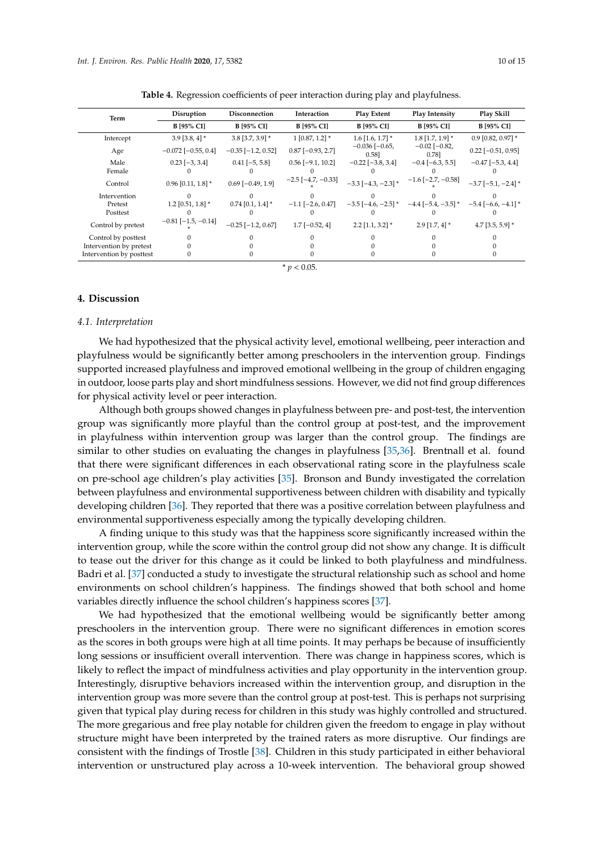| IU Of |  |
|-------|--|
|       |  |

<span id="page-9-0"></span>

| Term                     | Disruption                   | Disconnection            | Interaction             | Play Extent                   | Play Intensity                                            | Play Skill                   |
|--------------------------|------------------------------|--------------------------|-------------------------|-------------------------------|-----------------------------------------------------------|------------------------------|
|                          | <b>B</b> [95% CI]            | <b>B</b> [95% CI]        | <b>B</b> [95% CI]       | <b>B</b> [95% CI]             | <b>B</b> [95% CI]                                         | <b>B</b> [95% CI]            |
| Intercept                | $3.9$ [3.8, 4] $*$           | $3.8$ [3.7, 3.9] $*$     | $1$ [0.87, 1.2] $*$     | $1.6$ [1.6, 1.7] $*$          | $1.8$ [1.7, 1.9] $*$                                      | $0.9$ [0.82, 0.97] *         |
| Age                      | $-0.072$ [ $-0.55$ , 0.4]    | $-0.35$ [ $-1.2$ , 0.52] | $0.87[-0.93, 2.7]$      | $-0.036$ [ $-0.65$ ,<br>0.581 | $-0.02$ [ $-0.82$ ,<br>0.781                              | $0.22$ [-0.51, 0.95]         |
| Male                     | $0.23$ [-3, 3.4]             | $0.41$ [-5, 5.8]         | $0.56$ [-9.1, 10.2]     | $-0.22$ [ $-3.8$ , 3.4]       | $-0.4$ [ $-6.3$ , 5.5]                                    | $-0.47$ [ $-5.3$ , 4.4]      |
| Female                   |                              |                          |                         |                               |                                                           |                              |
| Control                  | $0.96$ [0.11, 1.8] *         | $0.69$ [-0.49, 1.9]      | $-2.5[-4.7, -0.33]$     |                               | $-3.3[-4.3, -2.3]$ * $-1.6[-2.7, -0.58]$                  | $-3.7$ [ $-5.1$ , $-2.4$ ] * |
| Intervention             |                              |                          |                         |                               |                                                           |                              |
| Pretest                  | $1.2$ [0.51, 1.8] $*$        | $0.74$ [0.1, 1.4] $*$    | $-1.1$ [ $-2.6$ , 0.47] |                               | $-3.5$ [ $-4.6$ , $-2.5$ ] * $-4.4$ [ $-5.4$ , $-3.5$ ] * | $-5.4$ [ $-6.6$ , $-4.1$ ] * |
| Posttest                 |                              |                          |                         |                               |                                                           |                              |
| Control by pretest       | $-0.81$ [ $-1.5$ , $-0.14$ ] | $-0.25$ [ $-1.2$ , 0.67] | $1.7[-0.52, 4]$         | $2.2$ [1.1, 3.2] $*$          | $2.9$ [1.7, 4] *                                          | $4.7$ [3.5, 5.9] $*$         |
| Control by posttest      |                              |                          |                         |                               |                                                           |                              |
| Intervention by pretest  |                              |                          |                         |                               |                                                           |                              |
| Intervention by posttest |                              |                          |                         |                               |                                                           |                              |
| $\sim$ $\sim$ $\sim$     |                              |                          |                         |                               |                                                           |                              |

**Table 4.** Regression coefficients of peer interaction during play and playfulness.

#### $* p < 0.05$ .

#### **4. Discussion**

#### *4.1. Interpretation*

We had hypothesized that the physical activity level, emotional wellbeing, peer interaction and playfulness would be significantly better among preschoolers in the intervention group. Findings supported increased playfulness and improved emotional wellbeing in the group of children engaging in outdoor, loose parts play and short mindfulness sessions. However, we did not find group differences for physical activity level or peer interaction.

Although both groups showed changes in playfulness between pre- and post-test, the intervention group was significantly more playful than the control group at post-test, and the improvement in playfulness within intervention group was larger than the control group. The findings are similar to other studies on evaluating the changes in playfulness [\[35,](#page-13-17)[36\]](#page-13-18). Brentnall et al. found that there were significant differences in each observational rating score in the playfulness scale on pre-school age children's play activities [\[35\]](#page-13-17). Bronson and Bundy investigated the correlation between playfulness and environmental supportiveness between children with disability and typically developing children [\[36\]](#page-13-18). They reported that there was a positive correlation between playfulness and environmental supportiveness especially among the typically developing children.

A finding unique to this study was that the happiness score significantly increased within the intervention group, while the score within the control group did not show any change. It is difficult to tease out the driver for this change as it could be linked to both playfulness and mindfulness. Badri et al. [\[37\]](#page-13-19) conducted a study to investigate the structural relationship such as school and home environments on school children's happiness. The findings showed that both school and home variables directly influence the school children's happiness scores [\[37\]](#page-13-19).

We had hypothesized that the emotional wellbeing would be significantly better among preschoolers in the intervention group. There were no significant differences in emotion scores as the scores in both groups were high at all time points. It may perhaps be because of insufficiently long sessions or insufficient overall intervention. There was change in happiness scores, which is likely to reflect the impact of mindfulness activities and play opportunity in the intervention group. Interestingly, disruptive behaviors increased within the intervention group, and disruption in the intervention group was more severe than the control group at post-test. This is perhaps not surprising given that typical play during recess for children in this study was highly controlled and structured. The more gregarious and free play notable for children given the freedom to engage in play without structure might have been interpreted by the trained raters as more disruptive. Our findings are consistent with the findings of Trostle [\[38\]](#page-14-0). Children in this study participated in either behavioral intervention or unstructured play across a 10-week intervention. The behavioral group showed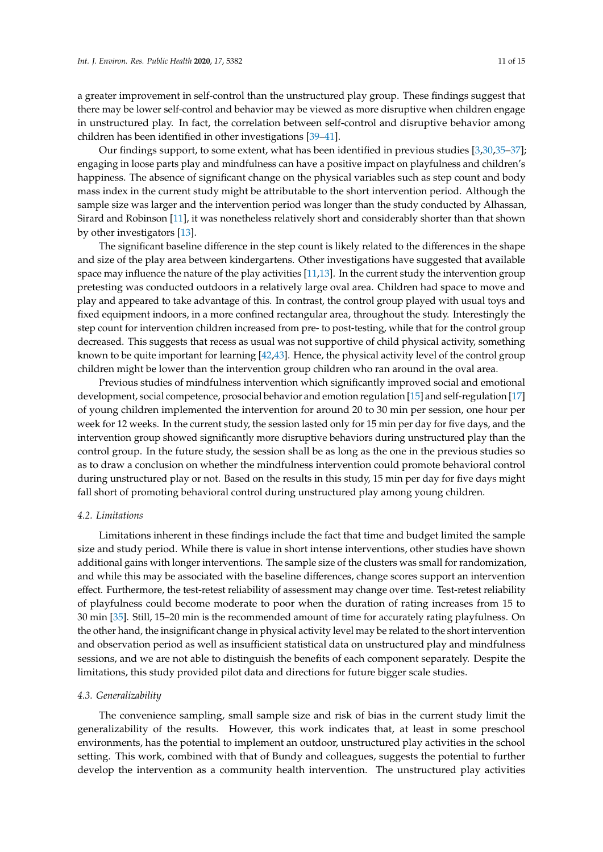a greater improvement in self-control than the unstructured play group. These findings suggest that there may be lower self-control and behavior may be viewed as more disruptive when children engage in unstructured play. In fact, the correlation between self-control and disruptive behavior among children has been identified in other investigations [\[39–](#page-14-1)[41\]](#page-14-2).

Our findings support, to some extent, what has been identified in previous studies [\[3,](#page-12-2)[30,](#page-13-12)[35](#page-13-17)[–37\]](#page-13-19); engaging in loose parts play and mindfulness can have a positive impact on playfulness and children's happiness. The absence of significant change on the physical variables such as step count and body mass index in the current study might be attributable to the short intervention period. Although the sample size was larger and the intervention period was longer than the study conducted by Alhassan, Sirard and Robinson [\[11\]](#page-12-10), it was nonetheless relatively short and considerably shorter than that shown by other investigators [\[13\]](#page-12-12).

The significant baseline difference in the step count is likely related to the differences in the shape and size of the play area between kindergartens. Other investigations have suggested that available space may influence the nature of the play activities  $[11,13]$  $[11,13]$ . In the current study the intervention group pretesting was conducted outdoors in a relatively large oval area. Children had space to move and play and appeared to take advantage of this. In contrast, the control group played with usual toys and fixed equipment indoors, in a more confined rectangular area, throughout the study. Interestingly the step count for intervention children increased from pre- to post-testing, while that for the control group decreased. This suggests that recess as usual was not supportive of child physical activity, something known to be quite important for learning [\[42](#page-14-3)[,43\]](#page-14-4). Hence, the physical activity level of the control group children might be lower than the intervention group children who ran around in the oval area.

Previous studies of mindfulness intervention which significantly improved social and emotional development, social competence, prosocial behavior and emotion regulation [\[15\]](#page-13-0) and self-regulation [\[17\]](#page-13-2) of young children implemented the intervention for around 20 to 30 min per session, one hour per week for 12 weeks. In the current study, the session lasted only for 15 min per day for five days, and the intervention group showed significantly more disruptive behaviors during unstructured play than the control group. In the future study, the session shall be as long as the one in the previous studies so as to draw a conclusion on whether the mindfulness intervention could promote behavioral control during unstructured play or not. Based on the results in this study, 15 min per day for five days might fall short of promoting behavioral control during unstructured play among young children.

# *4.2. Limitations*

Limitations inherent in these findings include the fact that time and budget limited the sample size and study period. While there is value in short intense interventions, other studies have shown additional gains with longer interventions. The sample size of the clusters was small for randomization, and while this may be associated with the baseline differences, change scores support an intervention effect. Furthermore, the test-retest reliability of assessment may change over time. Test-retest reliability of playfulness could become moderate to poor when the duration of rating increases from 15 to 30 min [\[35\]](#page-13-17). Still, 15–20 min is the recommended amount of time for accurately rating playfulness. On the other hand, the insignificant change in physical activity level may be related to the short intervention and observation period as well as insufficient statistical data on unstructured play and mindfulness sessions, and we are not able to distinguish the benefits of each component separately. Despite the limitations, this study provided pilot data and directions for future bigger scale studies.

# *4.3. Generalizability*

The convenience sampling, small sample size and risk of bias in the current study limit the generalizability of the results. However, this work indicates that, at least in some preschool environments, has the potential to implement an outdoor, unstructured play activities in the school setting. This work, combined with that of Bundy and colleagues, suggests the potential to further develop the intervention as a community health intervention. The unstructured play activities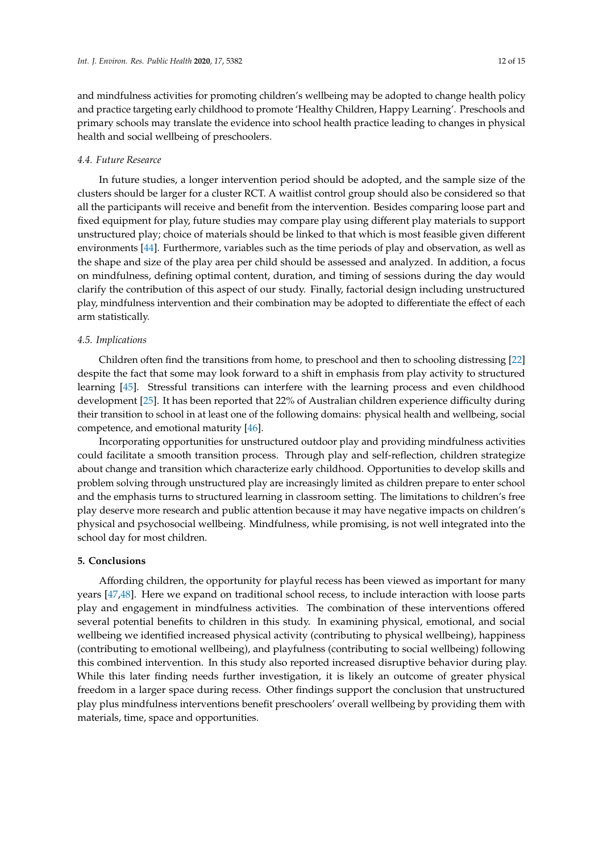and mindfulness activities for promoting children's wellbeing may be adopted to change health policy and practice targeting early childhood to promote 'Healthy Children, Happy Learning'. Preschools and primary schools may translate the evidence into school health practice leading to changes in physical health and social wellbeing of preschoolers.

# *4.4. Future Researce*

In future studies, a longer intervention period should be adopted, and the sample size of the clusters should be larger for a cluster RCT. A waitlist control group should also be considered so that all the participants will receive and benefit from the intervention. Besides comparing loose part and fixed equipment for play, future studies may compare play using different play materials to support unstructured play; choice of materials should be linked to that which is most feasible given different environments [\[44\]](#page-14-5). Furthermore, variables such as the time periods of play and observation, as well as the shape and size of the play area per child should be assessed and analyzed. In addition, a focus on mindfulness, defining optimal content, duration, and timing of sessions during the day would clarify the contribution of this aspect of our study. Finally, factorial design including unstructured play, mindfulness intervention and their combination may be adopted to differentiate the effect of each arm statistically.

# *4.5. Implications*

Children often find the transitions from home, to preschool and then to schooling distressing [\[22\]](#page-13-4) despite the fact that some may look forward to a shift in emphasis from play activity to structured learning [\[45\]](#page-14-6). Stressful transitions can interfere with the learning process and even childhood development [\[25\]](#page-13-7). It has been reported that 22% of Australian children experience difficulty during their transition to school in at least one of the following domains: physical health and wellbeing, social competence, and emotional maturity [\[46\]](#page-14-7).

Incorporating opportunities for unstructured outdoor play and providing mindfulness activities could facilitate a smooth transition process. Through play and self-reflection, children strategize about change and transition which characterize early childhood. Opportunities to develop skills and problem solving through unstructured play are increasingly limited as children prepare to enter school and the emphasis turns to structured learning in classroom setting. The limitations to children's free play deserve more research and public attention because it may have negative impacts on children's physical and psychosocial wellbeing. Mindfulness, while promising, is not well integrated into the school day for most children.

#### **5. Conclusions**

Affording children, the opportunity for playful recess has been viewed as important for many years [\[47](#page-14-8)[,48\]](#page-14-9). Here we expand on traditional school recess, to include interaction with loose parts play and engagement in mindfulness activities. The combination of these interventions offered several potential benefits to children in this study. In examining physical, emotional, and social wellbeing we identified increased physical activity (contributing to physical wellbeing), happiness (contributing to emotional wellbeing), and playfulness (contributing to social wellbeing) following this combined intervention. In this study also reported increased disruptive behavior during play. While this later finding needs further investigation, it is likely an outcome of greater physical freedom in a larger space during recess. Other findings support the conclusion that unstructured play plus mindfulness interventions benefit preschoolers' overall wellbeing by providing them with materials, time, space and opportunities.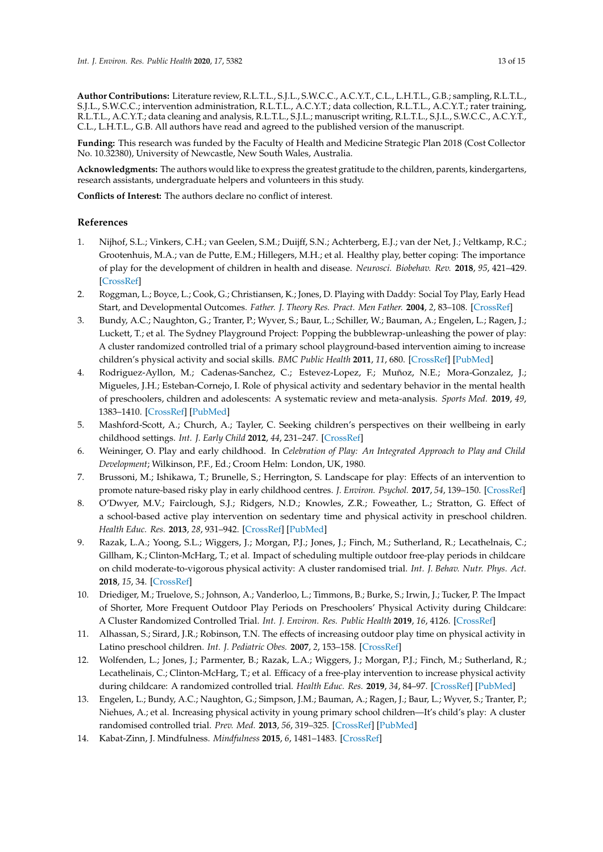**Author Contributions:** Literature review, R.L.T.L., S.J.L., S.W.C.C., A.C.Y.T., C.L., L.H.T.L., G.B.; sampling, R.L.T.L., S.J.L., S.W.C.C.; intervention administration, R.L.T.L., A.C.Y.T.; data collection, R.L.T.L., A.C.Y.T.; rater training, R.L.T.L., A.C.Y.T.; data cleaning and analysis, R.L.T.L., S.J.L.; manuscript writing, R.L.T.L., S.J.L., S.W.C.C., A.C.Y.T., C.L., L.H.T.L., G.B. All authors have read and agreed to the published version of the manuscript.

**Funding:** This research was funded by the Faculty of Health and Medicine Strategic Plan 2018 (Cost Collector No. 10.32380), University of Newcastle, New South Wales, Australia.

**Acknowledgments:** The authors would like to express the greatest gratitude to the children, parents, kindergartens, research assistants, undergraduate helpers and volunteers in this study.

**Conflicts of Interest:** The authors declare no conflict of interest.

# **References**

- <span id="page-12-0"></span>1. Nijhof, S.L.; Vinkers, C.H.; van Geelen, S.M.; Duijff, S.N.; Achterberg, E.J.; van der Net, J.; Veltkamp, R.C.; Grootenhuis, M.A.; van de Putte, E.M.; Hillegers, M.H.; et al. Healthy play, better coping: The importance of play for the development of children in health and disease. *Neurosci. Biobehav. Rev.* **2018**, *95*, 421–429. [\[CrossRef\]](http://dx.doi.org/10.1016/j.neubiorev.2018.09.024)
- <span id="page-12-1"></span>2. Roggman, L.; Boyce, L.; Cook, G.; Christiansen, K.; Jones, D. Playing with Daddy: Social Toy Play, Early Head Start, and Developmental Outcomes. *Father. J. Theory Res. Pract. Men Father.* **2004**, *2*, 83–108. [\[CrossRef\]](http://dx.doi.org/10.3149/fth.0201.83)
- <span id="page-12-2"></span>3. Bundy, A.C.; Naughton, G.; Tranter, P.; Wyver, S.; Baur, L.; Schiller, W.; Bauman, A.; Engelen, L.; Ragen, J.; Luckett, T.; et al. The Sydney Playground Project: Popping the bubblewrap-unleashing the power of play: A cluster randomized controlled trial of a primary school playground-based intervention aiming to increase children's physical activity and social skills. *BMC Public Health* **2011**, *11*, 680. [\[CrossRef\]](http://dx.doi.org/10.1186/1471-2458-11-680) [\[PubMed\]](http://www.ncbi.nlm.nih.gov/pubmed/21884603)
- <span id="page-12-3"></span>4. Rodriguez-Ayllon, M.; Cadenas-Sanchez, C.; Estevez-Lopez, F.; Muñoz, N.E.; Mora-Gonzalez, J.; Migueles, J.H.; Esteban-Cornejo, I. Role of physical activity and sedentary behavior in the mental health of preschoolers, children and adolescents: A systematic review and meta-analysis. *Sports Med.* **2019**, *49*, 1383–1410. [\[CrossRef\]](http://dx.doi.org/10.1007/s40279-019-01099-5) [\[PubMed\]](http://www.ncbi.nlm.nih.gov/pubmed/30993594)
- <span id="page-12-4"></span>5. Mashford-Scott, A.; Church, A.; Tayler, C. Seeking children's perspectives on their wellbeing in early childhood settings. *Int. J. Early Child* **2012**, *44*, 231–247. [\[CrossRef\]](http://dx.doi.org/10.1007/s13158-012-0069-7)
- <span id="page-12-5"></span>6. Weininger, O. Play and early childhood. In *Celebration of Play: An Integrated Approach to Play and Child Development*; Wilkinson, P.F., Ed.; Croom Helm: London, UK, 1980.
- <span id="page-12-6"></span>7. Brussoni, M.; Ishikawa, T.; Brunelle, S.; Herrington, S. Landscape for play: Effects of an intervention to promote nature-based risky play in early childhood centres. *J. Environ. Psychol.* **2017**, *54*, 139–150. [\[CrossRef\]](http://dx.doi.org/10.1016/j.jenvp.2017.11.001)
- <span id="page-12-7"></span>8. O'Dwyer, M.V.; Fairclough, S.J.; Ridgers, N.D.; Knowles, Z.R.; Foweather, L.; Stratton, G. Effect of a school-based active play intervention on sedentary time and physical activity in preschool children. *Health Educ. Res.* **2013**, *28*, 931–942. [\[CrossRef\]](http://dx.doi.org/10.1093/her/cyt097) [\[PubMed\]](http://www.ncbi.nlm.nih.gov/pubmed/24107857)
- <span id="page-12-8"></span>9. Razak, L.A.; Yoong, S.L.; Wiggers, J.; Morgan, P.J.; Jones, J.; Finch, M.; Sutherland, R.; Lecathelnais, C.; Gillham, K.; Clinton-McHarg, T.; et al. Impact of scheduling multiple outdoor free-play periods in childcare on child moderate-to-vigorous physical activity: A cluster randomised trial. *Int. J. Behav. Nutr. Phys. Act.* **2018**, *15*, 34. [\[CrossRef\]](http://dx.doi.org/10.1186/s12966-018-0665-5)
- <span id="page-12-9"></span>10. Driediger, M.; Truelove, S.; Johnson, A.; Vanderloo, L.; Timmons, B.; Burke, S.; Irwin, J.; Tucker, P. The Impact of Shorter, More Frequent Outdoor Play Periods on Preschoolers' Physical Activity during Childcare: A Cluster Randomized Controlled Trial. *Int. J. Environ. Res. Public Health* **2019**, *16*, 4126. [\[CrossRef\]](http://dx.doi.org/10.3390/ijerph16214126)
- <span id="page-12-10"></span>11. Alhassan, S.; Sirard, J.R.; Robinson, T.N. The effects of increasing outdoor play time on physical activity in Latino preschool children. *Int. J. Pediatric Obes.* **2007**, *2*, 153–158. [\[CrossRef\]](http://dx.doi.org/10.1080/17477160701520108)
- <span id="page-12-11"></span>12. Wolfenden, L.; Jones, J.; Parmenter, B.; Razak, L.A.; Wiggers, J.; Morgan, P.J.; Finch, M.; Sutherland, R.; Lecathelinais, C.; Clinton-McHarg, T.; et al. Efficacy of a free-play intervention to increase physical activity during childcare: A randomized controlled trial. *Health Educ. Res.* **2019**, *34*, 84–97. [\[CrossRef\]](http://dx.doi.org/10.1093/her/cyy041) [\[PubMed\]](http://www.ncbi.nlm.nih.gov/pubmed/30445644)
- <span id="page-12-12"></span>13. Engelen, L.; Bundy, A.C.; Naughton, G.; Simpson, J.M.; Bauman, A.; Ragen, J.; Baur, L.; Wyver, S.; Tranter, P.; Niehues, A.; et al. Increasing physical activity in young primary school children—It's child's play: A cluster randomised controlled trial. *Prev. Med.* **2013**, *56*, 319–325. [\[CrossRef\]](http://dx.doi.org/10.1016/j.ypmed.2013.02.007) [\[PubMed\]](http://www.ncbi.nlm.nih.gov/pubmed/23462477)
- <span id="page-12-13"></span>14. Kabat-Zinn, J. Mindfulness. *Mindfulness* **2015**, *6*, 1481–1483. [\[CrossRef\]](http://dx.doi.org/10.1007/s12671-015-0456-x)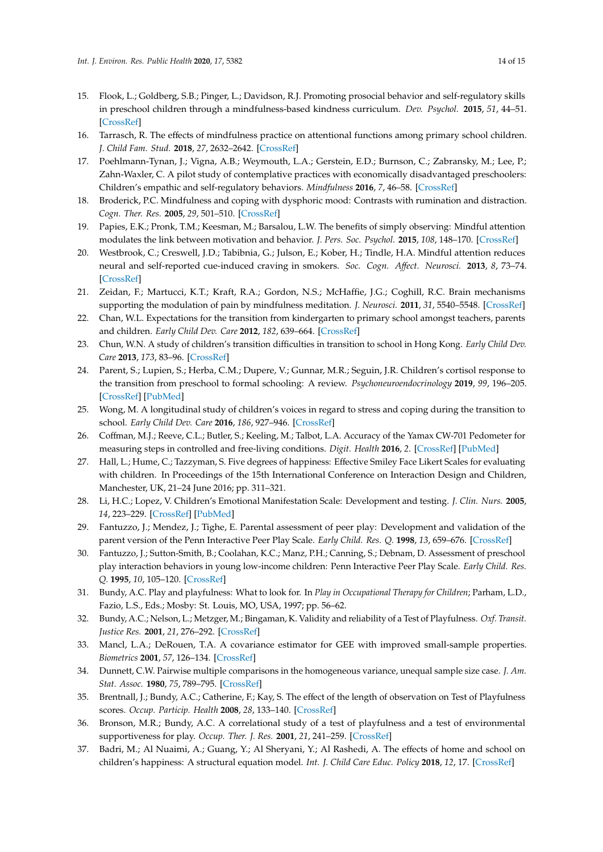- <span id="page-13-0"></span>15. Flook, L.; Goldberg, S.B.; Pinger, L.; Davidson, R.J. Promoting prosocial behavior and self-regulatory skills in preschool children through a mindfulness-based kindness curriculum. *Dev. Psychol.* **2015**, *51*, 44–51. [\[CrossRef\]](http://dx.doi.org/10.1037/a0038256)
- <span id="page-13-1"></span>16. Tarrasch, R. The effects of mindfulness practice on attentional functions among primary school children. *J. Child Fam. Stud.* **2018**, *27*, 2632–2642. [\[CrossRef\]](http://dx.doi.org/10.1007/s10826-018-1073-9)
- <span id="page-13-2"></span>17. Poehlmann-Tynan, J.; Vigna, A.B.; Weymouth, L.A.; Gerstein, E.D.; Burnson, C.; Zabransky, M.; Lee, P.; Zahn-Waxler, C. A pilot study of contemplative practices with economically disadvantaged preschoolers: Children's empathic and self-regulatory behaviors. *Mindfulness* **2016**, *7*, 46–58. [\[CrossRef\]](http://dx.doi.org/10.1007/s12671-015-0426-3)
- 18. Broderick, P.C. Mindfulness and coping with dysphoric mood: Contrasts with rumination and distraction. *Cogn. Ther. Res.* **2005**, *29*, 501–510. [\[CrossRef\]](http://dx.doi.org/10.1007/s10608-005-3888-0)
- 19. Papies, E.K.; Pronk, T.M.; Keesman, M.; Barsalou, L.W. The benefits of simply observing: Mindful attention modulates the link between motivation and behavior. *J. Pers. Soc. Psychol.* **2015**, *108*, 148–170. [\[CrossRef\]](http://dx.doi.org/10.1037/a0038032)
- 20. Westbrook, C.; Creswell, J.D.; Tabibnia, G.; Julson, E.; Kober, H.; Tindle, H.A. Mindful attention reduces neural and self-reported cue-induced craving in smokers. *Soc. Cogn. A*ff*ect. Neurosci.* **2013**, *8*, 73–74. [\[CrossRef\]](http://dx.doi.org/10.1093/scan/nsr076)
- <span id="page-13-3"></span>21. Zeidan, F.; Martucci, K.T.; Kraft, R.A.; Gordon, N.S.; McHaffie, J.G.; Coghill, R.C. Brain mechanisms supporting the modulation of pain by mindfulness meditation. *J. Neurosci.* **2011**, *31*, 5540–5548. [\[CrossRef\]](http://dx.doi.org/10.1523/JNEUROSCI.5791-10.2011)
- <span id="page-13-4"></span>22. Chan, W.L. Expectations for the transition from kindergarten to primary school amongst teachers, parents and children. *Early Child Dev. Care* **2012**, *182*, 639–664. [\[CrossRef\]](http://dx.doi.org/10.1080/03004430.2011.569543)
- <span id="page-13-5"></span>23. Chun, W.N. A study of children's transition difficulties in transition to school in Hong Kong. *Early Child Dev. Care* **2013**, *173*, 83–96. [\[CrossRef\]](http://dx.doi.org/10.1080/0300443022000022440)
- <span id="page-13-6"></span>24. Parent, S.; Lupien, S.; Herba, C.M.; Dupere, V.; Gunnar, M.R.; Seguin, J.R. Children's cortisol response to the transition from preschool to formal schooling: A review. *Psychoneuroendocrinology* **2019**, *99*, 196–205. [\[CrossRef\]](http://dx.doi.org/10.1016/j.psyneuen.2018.09.013) [\[PubMed\]](http://www.ncbi.nlm.nih.gov/pubmed/30253327)
- <span id="page-13-7"></span>25. Wong, M. A longitudinal study of children's voices in regard to stress and coping during the transition to school. *Early Child Dev. Care* **2016**, *186*, 927–946. [\[CrossRef\]](http://dx.doi.org/10.1080/03004430.2015.1068769)
- <span id="page-13-8"></span>26. Coffman, M.J.; Reeve, C.L.; Butler, S.; Keeling, M.; Talbot, L.A. Accuracy of the Yamax CW-701 Pedometer for measuring steps in controlled and free-living conditions. *Digit. Health* **2016**, *2*. [\[CrossRef\]](http://dx.doi.org/10.1177/2055207616652526) [\[PubMed\]](http://www.ncbi.nlm.nih.gov/pubmed/29942555)
- <span id="page-13-9"></span>27. Hall, L.; Hume, C.; Tazzyman, S. Five degrees of happiness: Effective Smiley Face Likert Scales for evaluating with children. In Proceedings of the 15th International Conference on Interaction Design and Children, Manchester, UK, 21–24 June 2016; pp. 311–321.
- <span id="page-13-10"></span>28. Li, H.C.; Lopez, V. Children's Emotional Manifestation Scale: Development and testing. *J. Clin. Nurs.* **2005**, *14*, 223–229. [\[CrossRef\]](http://dx.doi.org/10.1111/j.1365-2702.2004.01031.x) [\[PubMed\]](http://www.ncbi.nlm.nih.gov/pubmed/15669931)
- <span id="page-13-11"></span>29. Fantuzzo, J.; Mendez, J.; Tighe, E. Parental assessment of peer play: Development and validation of the parent version of the Penn Interactive Peer Play Scale. *Early Child. Res. Q.* **1998**, *13*, 659–676. [\[CrossRef\]](http://dx.doi.org/10.1016/S0885-2006(99)80066-0)
- <span id="page-13-12"></span>30. Fantuzzo, J.; Sutton-Smith, B.; Coolahan, K.C.; Manz, P.H.; Canning, S.; Debnam, D. Assessment of preschool play interaction behaviors in young low-income children: Penn Interactive Peer Play Scale. *Early Child. Res. Q.* **1995**, *10*, 105–120. [\[CrossRef\]](http://dx.doi.org/10.1016/0885-2006(95)90028-4)
- <span id="page-13-13"></span>31. Bundy, A.C. Play and playfulness: What to look for. In *Play in Occupational Therapy for Children*; Parham, L.D., Fazio, L.S., Eds.; Mosby: St. Louis, MO, USA, 1997; pp. 56–62.
- <span id="page-13-14"></span>32. Bundy, A.C.; Nelson, L.; Metzger, M.; Bingaman, K. Validity and reliability of a Test of Playfulness. *Oxf. Transit. Justice Res.* **2001**, *21*, 276–292. [\[CrossRef\]](http://dx.doi.org/10.1177/153944920102100405)
- <span id="page-13-15"></span>33. Mancl, L.A.; DeRouen, T.A. A covariance estimator for GEE with improved small-sample properties. *Biometrics* **2001**, *57*, 126–134. [\[CrossRef\]](http://dx.doi.org/10.1111/j.0006-341X.2001.00126.x)
- <span id="page-13-16"></span>34. Dunnett, C.W. Pairwise multiple comparisons in the homogeneous variance, unequal sample size case. *J. Am. Stat. Assoc.* **1980**, *75*, 789–795. [\[CrossRef\]](http://dx.doi.org/10.1080/01621459.1980.10477551)
- <span id="page-13-17"></span>35. Brentnall, J.; Bundy, A.C.; Catherine, F.; Kay, S. The effect of the length of observation on Test of Playfulness scores. *Occup. Particip. Health* **2008**, *28*, 133–140. [\[CrossRef\]](http://dx.doi.org/10.3928/15394492-20080601-02)
- <span id="page-13-18"></span>36. Bronson, M.R.; Bundy, A.C. A correlational study of a test of playfulness and a test of environmental supportiveness for play. *Occup. Ther. J. Res.* **2001**, *21*, 241–259. [\[CrossRef\]](http://dx.doi.org/10.1177/153944920102100403)
- <span id="page-13-19"></span>37. Badri, M.; Al Nuaimi, A.; Guang, Y.; Al Sheryani, Y.; Al Rashedi, A. The effects of home and school on children's happiness: A structural equation model. *Int. J. Child Care Educ. Policy* **2018**, *12*, 17. [\[CrossRef\]](http://dx.doi.org/10.1186/s40723-018-0056-z)